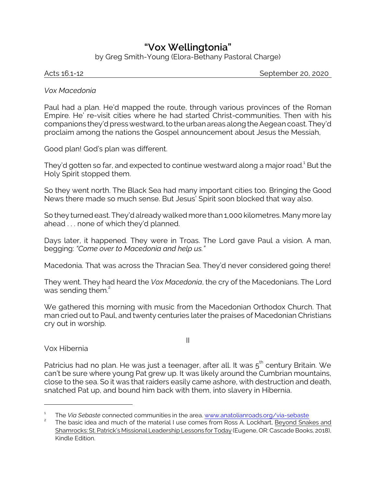## **"Vox Wellingtonia"**

by Greg Smith-Young (Elora-Bethany Pastoral Charge)

Acts 16.1-12 September 20, 2020

## *Vox Macedonia*

Paul had a plan. He'd mapped the route, through various provinces of the Roman Empire. He' re-visit cities where he had started Christ-communities. Then with his companions they'd press westward, to the urban areas along the Aegean coast. They'd proclaim among the nations the Gospel announcement about Jesus the Messiah,

Good plan! God's plan was different.

They'd gotten so far, and expected to continue westward along a major road.<sup>1</sup> But the Holy Spirit stopped them.

So they went north. The Black Sea had many important cities too. Bringing the Good News there made so much sense. But Jesus' Spirit soon blocked that way also.

So they turned east. They'd already walked more than 1,000 kilometres. Many more lay ahead . . . none of which they'd planned.

Days later, it happened. They were in Troas. The Lord gave Paul a vision. A man, begging: *"Come over to Macedonia and help us."* 

Macedonia. That was across the Thracian Sea. They'd never considered going there!

They went. They had heard the *Vox Macedonia*, the cry of the Macedonians. The Lord was sending them. $2$ 

We gathered this morning with music from the Macedonian Orthodox Church. That man cried out to Paul, and twenty centuries later the praises of Macedonian Christians cry out in worship.

Vox Hibernia

II

Patricius had no plan. He was just a teenager, after all. It was  $5^{\rm th}$  century Britain. We can't be sure where young Pat grew up. It was likely around the Cumbrian mountains, close to the sea. So it was that raiders easily came ashore, with destruction and death, snatched Pat up, and bound him back with them, into slavery in Hibernia.

<sup>1</sup> The *Via Sebaste* connected communities in the area. [www.anatolianroads.org/via-sebaste](https://www.anatolianroads.org/via-sebaste/)

<sup>2</sup> The basic idea and much of the material I use comes from Ross A. Lockhart, Beyond Snakes and Shamrocks: St. Patrick's Missional Leadership Lessons for Today (Eugene, OR: Cascade Books, 2018), Kindle Edition.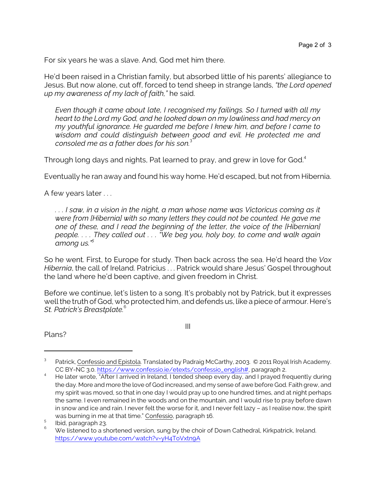For six years he was a slave. And, God met him there.

He'd been raised in a Christian family, but absorbed little of his parents' allegiance to Jesus. But now alone, cut off, forced to tend sheep in strange lands, *"the Lord opened up my awareness of my lack of faith,"* he said.

*Even though it came about late, I recognised my failings. So I turned with all my heart to the Lord my God, and he looked down on my lowliness and had mercy on my youthful ignorance. He guarded me before I knew him, and before I came to wisdom and could distinguish between good and evil. He protected me and consoled me as a father does for his son.*<sup>3</sup>

Through long days and nights, Pat learned to pray, and grew in love for God.<sup>4</sup>

Eventually he ran away and found his way home. He'd escaped, but not from Hibernia.

A few years later . . .

*. . . I saw, in a vision in the night, a man whose name was Victoricus coming as it were from [Hibernia] with so many letters they could not be counted. He gave me one of these, and I read the beginning of the letter, the voice of the [Hibernian] people. . . . They called out . . . "We beg you, holy boy, to come and walk again among us."<sup>5</sup>*

So he went. First, to Europe for study. Then back across the sea. He'd heard the *Vox Hibernia*, the call of Ireland. Patricius . . . Patrick would share Jesus' Gospel throughout the land where he'd been captive, and given freedom in Christ.

Before we continue, let's listen to a song. It's probably not by Patrick, but it expresses well the truth of God, who protected him, and defends us, like a piece of armour. Here's *St. Patrick's Breastplate.*<sup>6</sup>

III

Plans?

<sup>3</sup> Patrick, Confessio and Epistola. Translated by Padraig McCarthy, 2003. © 2011 Royal Irish Academy. CC BY-NC 3.0. [https://www.confessio.ie/etexts/confessio\\_english#](https://www.confessio.ie/etexts/confessio_english#), paragraph 2.

He later wrote, "After I arrived in Ireland, I tended sheep every day, and I prayed frequently during the day. More and more the love of God increased, and my sense of awe before God. Faith grew, and my spirit was moved, so that in one day I would pray up to one hundred times, and at night perhaps the same. I even remained in the woods and on the mountain, and I would rise to pray before dawn in snow and ice and rain. I never felt the worse for it, and I never felt lazy – as I realise now, the spirit was burning in me at that time." Confessio, paragraph 16.

<sup>5</sup> Ibid, paragraph 23.

We listened to a shortened version, sung by the choir of Down Cathedral, Kirkpatrick, Ireland. <https://www.youtube.com/watch?v=yH4ToVxtn9A>